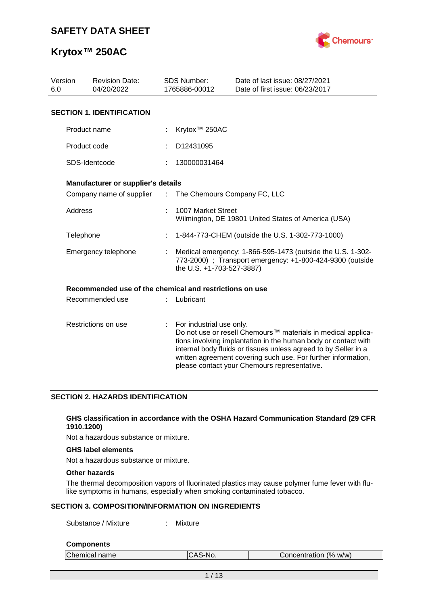

| Version<br>6.0 | <b>Revision Date:</b><br>04/20/2022                     |                             | <b>SDS Number:</b><br>1765886-00012                                                                                                                  | Date of last issue: 08/27/2021<br>Date of first issue: 06/23/2017                                                                                                                                                                                                                                                  |  |  |
|----------------|---------------------------------------------------------|-----------------------------|------------------------------------------------------------------------------------------------------------------------------------------------------|--------------------------------------------------------------------------------------------------------------------------------------------------------------------------------------------------------------------------------------------------------------------------------------------------------------------|--|--|
|                | <b>SECTION 1. IDENTIFICATION</b>                        |                             |                                                                                                                                                      |                                                                                                                                                                                                                                                                                                                    |  |  |
|                | Product name                                            |                             | Krytox <sup>™</sup> 250AC                                                                                                                            |                                                                                                                                                                                                                                                                                                                    |  |  |
|                | Product code                                            |                             | D12431095                                                                                                                                            |                                                                                                                                                                                                                                                                                                                    |  |  |
|                | SDS-Identcode                                           |                             | 130000031464                                                                                                                                         |                                                                                                                                                                                                                                                                                                                    |  |  |
|                | Manufacturer or supplier's details                      |                             |                                                                                                                                                      |                                                                                                                                                                                                                                                                                                                    |  |  |
|                | Company name of supplier                                | $\mathcal{L}^{\mathcal{L}}$ | The Chemours Company FC, LLC                                                                                                                         |                                                                                                                                                                                                                                                                                                                    |  |  |
| Address        |                                                         |                             | 1007 Market Street                                                                                                                                   | Wilmington, DE 19801 United States of America (USA)                                                                                                                                                                                                                                                                |  |  |
| Telephone      |                                                         |                             |                                                                                                                                                      | 1-844-773-CHEM (outside the U.S. 1-302-773-1000)                                                                                                                                                                                                                                                                   |  |  |
|                | Emergency telephone                                     |                             | Medical emergency: 1-866-595-1473 (outside the U.S. 1-302-<br>773-2000) ; Transport emergency: +1-800-424-9300 (outside<br>the U.S. +1-703-527-3887) |                                                                                                                                                                                                                                                                                                                    |  |  |
|                | Recommended use of the chemical and restrictions on use |                             |                                                                                                                                                      |                                                                                                                                                                                                                                                                                                                    |  |  |
|                | Recommended use                                         |                             | Lubricant                                                                                                                                            |                                                                                                                                                                                                                                                                                                                    |  |  |
|                | Restrictions on use                                     | ÷                           | For industrial use only.                                                                                                                             | Do not use or resell Chemours™ materials in medical applica-<br>tions involving implantation in the human body or contact with<br>internal body fluids or tissues unless agreed to by Seller in a<br>written agreement covering such use. For further information,<br>please contact your Chemours representative. |  |  |

#### **SECTION 2. HAZARDS IDENTIFICATION**

#### **GHS classification in accordance with the OSHA Hazard Communication Standard (29 CFR 1910.1200)**

Not a hazardous substance or mixture.

#### **GHS label elements**

Not a hazardous substance or mixture.

### **Other hazards**

The thermal decomposition vapors of fluorinated plastics may cause polymer fume fever with flulike symptoms in humans, especially when smoking contaminated tobacco.

#### **SECTION 3. COMPOSITION/INFORMATION ON INGREDIENTS**

Substance / Mixture : Mixture

#### **Components**

| Chemical name | ICAS-No. | Concentration (% w/w) |  |
|---------------|----------|-----------------------|--|
|               |          |                       |  |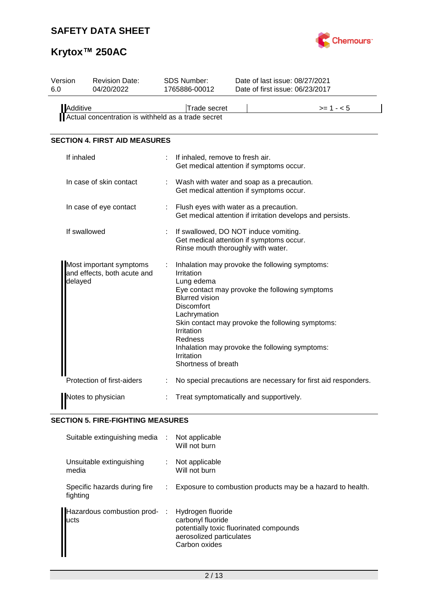

# **Krytox™ 250AC**

| Version<br>6.0 | <b>Revision Date:</b><br>04/20/2022                    |                           | <b>SDS Number:</b><br>1765886-00012                                                                                                                  | Date of last issue: 08/27/2021<br>Date of first issue: 06/23/2017                                                                                                                                      |
|----------------|--------------------------------------------------------|---------------------------|------------------------------------------------------------------------------------------------------------------------------------------------------|--------------------------------------------------------------------------------------------------------------------------------------------------------------------------------------------------------|
| Additive       | Actual concentration is withheld as a trade secret     |                           | <b>Trade secret</b>                                                                                                                                  | $>= 1 - 5$                                                                                                                                                                                             |
|                | <b>SECTION 4. FIRST AID MEASURES</b>                   |                           |                                                                                                                                                      |                                                                                                                                                                                                        |
| If inhaled     |                                                        |                           | If inhaled, remove to fresh air.                                                                                                                     | Get medical attention if symptoms occur.                                                                                                                                                               |
|                | In case of skin contact                                |                           |                                                                                                                                                      | Wash with water and soap as a precaution.<br>Get medical attention if symptoms occur.                                                                                                                  |
|                | In case of eye contact                                 | $\mathbb{Z}^{\mathbb{Z}}$ |                                                                                                                                                      | Flush eyes with water as a precaution.<br>Get medical attention if irritation develops and persists.                                                                                                   |
|                | If swallowed                                           |                           | Rinse mouth thoroughly with water.                                                                                                                   | If swallowed, DO NOT induce vomiting.<br>Get medical attention if symptoms occur.                                                                                                                      |
| delayed        | Most important symptoms<br>and effects, both acute and |                           | Irritation<br>Lung edema<br><b>Blurred vision</b><br><b>Discomfort</b><br>Lachrymation<br>Irritation<br>Redness<br>Irritation<br>Shortness of breath | Inhalation may provoke the following symptoms:<br>Eye contact may provoke the following symptoms<br>Skin contact may provoke the following symptoms:<br>Inhalation may provoke the following symptoms: |
|                | Protection of first-aiders                             |                           |                                                                                                                                                      | No special precautions are necessary for first aid responders.                                                                                                                                         |
|                | Notes to physician                                     |                           |                                                                                                                                                      | Treat symptomatically and supportively.                                                                                                                                                                |

## **SECTION 5. FIRE-FIGHTING MEASURES**

| Suitable extinguishing media :           |    | Not applicable<br>Will not burn                                                                                                |
|------------------------------------------|----|--------------------------------------------------------------------------------------------------------------------------------|
| Unsuitable extinguishing<br>media        |    | Not applicable<br>Will not burn                                                                                                |
| Specific hazards during fire<br>fighting | ÷. | Exposure to combustion products may be a hazard to health.                                                                     |
| Hazardous combustion prod- :<br>lucts    |    | Hydrogen fluoride<br>carbonyl fluoride<br>potentially toxic fluorinated compounds<br>aerosolized particulates<br>Carbon oxides |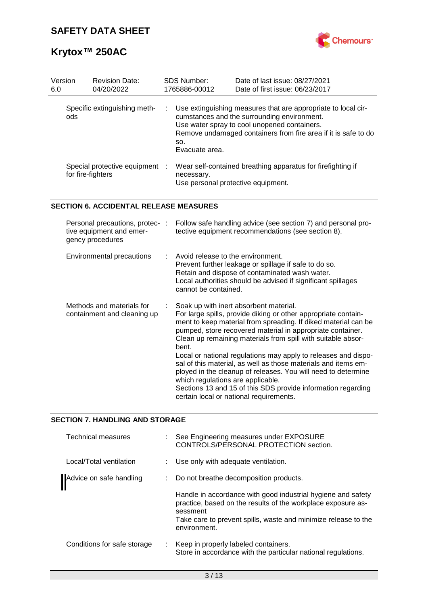

| Version<br>6.0 | <b>Revision Date:</b><br>04/20/2022                 |   | <b>SDS Number:</b><br>1765886-00012              | Date of last issue: 08/27/2021<br>Date of first issue: 06/23/2017                                                                                                                                                              |
|----------------|-----------------------------------------------------|---|--------------------------------------------------|--------------------------------------------------------------------------------------------------------------------------------------------------------------------------------------------------------------------------------|
| ods            | Specific extinguishing meth-                        | ÷ | SO.<br>Evacuate area.                            | Use extinguishing measures that are appropriate to local cir-<br>cumstances and the surrounding environment.<br>Use water spray to cool unopened containers.<br>Remove undamaged containers from fire area if it is safe to do |
|                | Special protective equipment :<br>for fire-fighters |   | necessary.<br>Use personal protective equipment. | Wear self-contained breathing apparatus for firefighting if                                                                                                                                                                    |

### **SECTION 6. ACCIDENTAL RELEASE MEASURES**

| Personal precautions, protec-:<br>tive equipment and emer-<br>gency procedures | Follow safe handling advice (see section 7) and personal pro-<br>tective equipment recommendations (see section 8).                                                                                                                                                                                                                                                                                                                                                                                                                                                                                                                                                    |
|--------------------------------------------------------------------------------|------------------------------------------------------------------------------------------------------------------------------------------------------------------------------------------------------------------------------------------------------------------------------------------------------------------------------------------------------------------------------------------------------------------------------------------------------------------------------------------------------------------------------------------------------------------------------------------------------------------------------------------------------------------------|
| Environmental precautions                                                      | $\therefore$ Avoid release to the environment.<br>Prevent further leakage or spillage if safe to do so.<br>Retain and dispose of contaminated wash water.<br>Local authorities should be advised if significant spillages<br>cannot be contained.                                                                                                                                                                                                                                                                                                                                                                                                                      |
| Methods and materials for<br>containment and cleaning up                       | Soak up with inert absorbent material.<br>For large spills, provide diking or other appropriate contain-<br>ment to keep material from spreading. If diked material can be<br>pumped, store recovered material in appropriate container.<br>Clean up remaining materials from spill with suitable absor-<br>bent.<br>Local or national regulations may apply to releases and dispo-<br>sal of this material, as well as those materials and items em-<br>ployed in the cleanup of releases. You will need to determine<br>which regulations are applicable.<br>Sections 13 and 15 of this SDS provide information regarding<br>certain local or national requirements. |

### **SECTION 7. HANDLING AND STORAGE**

| <b>Technical measures</b>   |   | : See Engineering measures under EXPOSURE<br>CONTROLS/PERSONAL PROTECTION section.                                                       |
|-----------------------------|---|------------------------------------------------------------------------------------------------------------------------------------------|
| Local/Total ventilation     |   | : Use only with adequate ventilation.                                                                                                    |
| Advice on safe handling     |   | : Do not breathe decomposition products.                                                                                                 |
|                             |   | Handle in accordance with good industrial hygiene and safety<br>practice, based on the results of the workplace exposure as-<br>sessment |
|                             |   | Take care to prevent spills, waste and minimize release to the<br>environment.                                                           |
| Conditions for safe storage | ÷ | Keep in properly labeled containers.<br>Store in accordance with the particular national regulations.                                    |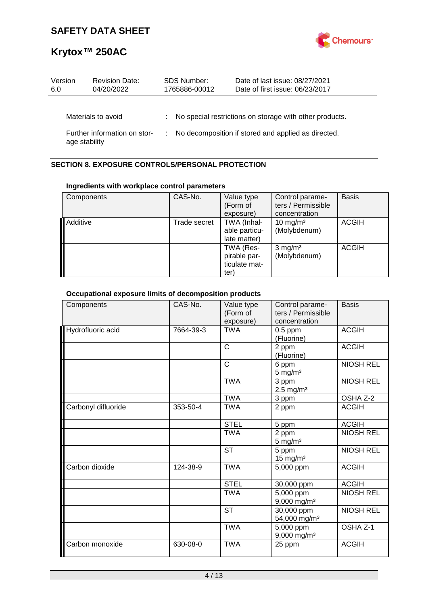

| Version<br>6.0 | <b>Revision Date:</b><br>04/20/2022 |    | <b>SDS Number:</b><br>1765886-00012 | Date of last issue: 08/27/2021<br>Date of first issue: 06/23/2017 |
|----------------|-------------------------------------|----|-------------------------------------|-------------------------------------------------------------------|
|                | Materials to avoid                  | ÷. |                                     | No special restrictions on storage with other products.           |
| age stability  | Further information on stor-        |    |                                     | No decomposition if stored and applied as directed.               |

## **SECTION 8. EXPOSURE CONTROLS/PERSONAL PROTECTION**

### **Ingredients with workplace control parameters**

| Components | CAS-No.      | Value type<br>(Form of<br>exposure)                | Control parame-<br>ters / Permissible<br>concentration | <b>Basis</b> |
|------------|--------------|----------------------------------------------------|--------------------------------------------------------|--------------|
| Additive   | Trade secret | TWA (Inhal-<br>able particu-<br>late matter)       | $10 \text{ mg/m}^3$<br>(Molybdenum)                    | <b>ACGIH</b> |
|            |              | TWA (Res-<br>pirable par-<br>ticulate mat-<br>ter) | $3$ mg/m <sup>3</sup><br>(Molybdenum)                  | <b>ACGIH</b> |

## **Occupational exposure limits of decomposition products**

| Components          | CAS-No.   | Value type<br>(Form of<br>exposure) | Control parame-<br>ters / Permissible<br>concentration | <b>Basis</b>     |
|---------------------|-----------|-------------------------------------|--------------------------------------------------------|------------------|
| Hydrofluoric acid   | 7664-39-3 | <b>TWA</b>                          | $0.5$ ppm<br>(Fluorine)                                | <b>ACGIH</b>     |
|                     |           | $\mathsf{C}$                        | 2 ppm<br>(Fluorine)                                    | <b>ACGIH</b>     |
|                     |           | $\mathsf{C}$                        | 6 ppm<br>$5 \text{ mg/m}^3$                            | <b>NIOSH REL</b> |
|                     |           | <b>TWA</b>                          | 3 ppm<br>$2.5 \text{ mg/m}^3$                          | <b>NIOSH REL</b> |
|                     |           | <b>TWA</b>                          | 3 ppm                                                  | OSHA Z-2         |
| Carbonyl difluoride | 353-50-4  | <b>TWA</b>                          | 2 ppm                                                  | <b>ACGIH</b>     |
|                     |           | <b>STEL</b>                         | 5 ppm                                                  | <b>ACGIH</b>     |
|                     |           | <b>TWA</b>                          | 2 ppm<br>$5 \text{ mg/m}^3$                            | <b>NIOSH REL</b> |
|                     |           | <b>ST</b>                           | 5 ppm<br>$15$ mg/m <sup>3</sup>                        | <b>NIOSH REL</b> |
| Carbon dioxide      | 124-38-9  | <b>TWA</b>                          | 5,000 ppm                                              | <b>ACGIH</b>     |
|                     |           | <b>STEL</b>                         | 30,000 ppm                                             | <b>ACGIH</b>     |
|                     |           | <b>TWA</b>                          | 5,000 ppm<br>9,000 mg/m <sup>3</sup>                   | <b>NIOSH REL</b> |
|                     |           | <b>ST</b>                           | 30,000 ppm<br>54,000 mg/m <sup>3</sup>                 | <b>NIOSH REL</b> |
|                     |           | <b>TWA</b>                          | $\overline{5,000}$ ppm<br>9,000 mg/m <sup>3</sup>      | OSHA Z-1         |
| Carbon monoxide     | 630-08-0  | <b>TWA</b>                          | 25 ppm                                                 | <b>ACGIH</b>     |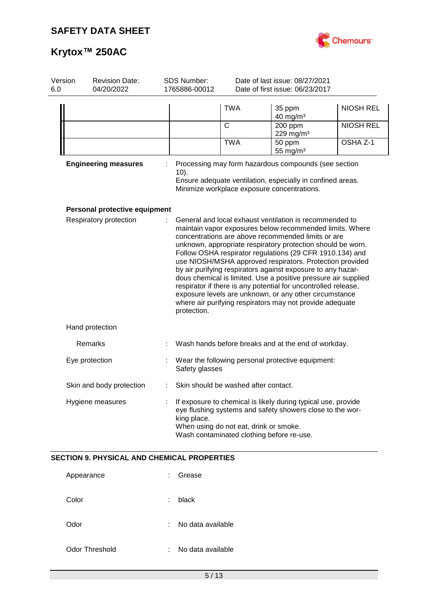

| Version<br>6.0 | <b>Revision Date:</b><br>04/20/2022                | <b>SDS Number:</b><br>1765886-00012                                                                                                                                                                                              |                                      | Date of last issue: 08/27/2021<br>Date of first issue: 06/23/2017                                                                                                                                                                                                                                                                                                                                                                                                                                                                                                                                                                                                                         |                  |  |
|----------------|----------------------------------------------------|----------------------------------------------------------------------------------------------------------------------------------------------------------------------------------------------------------------------------------|--------------------------------------|-------------------------------------------------------------------------------------------------------------------------------------------------------------------------------------------------------------------------------------------------------------------------------------------------------------------------------------------------------------------------------------------------------------------------------------------------------------------------------------------------------------------------------------------------------------------------------------------------------------------------------------------------------------------------------------------|------------------|--|
|                |                                                    |                                                                                                                                                                                                                                  | <b>TWA</b>                           | 35 ppm<br>$40$ mg/m <sup>3</sup>                                                                                                                                                                                                                                                                                                                                                                                                                                                                                                                                                                                                                                                          | <b>NIOSH REL</b> |  |
|                |                                                    |                                                                                                                                                                                                                                  | C                                    | 200 ppm<br>229 mg/m <sup>3</sup>                                                                                                                                                                                                                                                                                                                                                                                                                                                                                                                                                                                                                                                          | <b>NIOSH REL</b> |  |
|                |                                                    |                                                                                                                                                                                                                                  | <b>TWA</b>                           | 50 ppm<br>55 mg/ $m3$                                                                                                                                                                                                                                                                                                                                                                                                                                                                                                                                                                                                                                                                     | OSHA Z-1         |  |
|                | <b>Engineering measures</b>                        | $10$ ).                                                                                                                                                                                                                          |                                      | Processing may form hazardous compounds (see section<br>Ensure adequate ventilation, especially in confined areas.<br>Minimize workplace exposure concentrations.                                                                                                                                                                                                                                                                                                                                                                                                                                                                                                                         |                  |  |
|                | Personal protective equipment                      |                                                                                                                                                                                                                                  |                                      |                                                                                                                                                                                                                                                                                                                                                                                                                                                                                                                                                                                                                                                                                           |                  |  |
|                | Respiratory protection                             | protection.                                                                                                                                                                                                                      |                                      | General and local exhaust ventilation is recommended to<br>maintain vapor exposures below recommended limits. Where<br>concentrations are above recommended limits or are<br>unknown, appropriate respiratory protection should be worn.<br>Follow OSHA respirator regulations (29 CFR 1910.134) and<br>use NIOSH/MSHA approved respirators. Protection provided<br>by air purifying respirators against exposure to any hazar-<br>dous chemical is limited. Use a positive pressure air supplied<br>respirator if there is any potential for uncontrolled release,<br>exposure levels are unknown, or any other circumstance<br>where air purifying respirators may not provide adequate |                  |  |
|                | Hand protection                                    |                                                                                                                                                                                                                                  |                                      |                                                                                                                                                                                                                                                                                                                                                                                                                                                                                                                                                                                                                                                                                           |                  |  |
|                | Remarks                                            |                                                                                                                                                                                                                                  |                                      | Wash hands before breaks and at the end of workday.                                                                                                                                                                                                                                                                                                                                                                                                                                                                                                                                                                                                                                       |                  |  |
|                | Eye protection                                     | Safety glasses                                                                                                                                                                                                                   |                                      | Wear the following personal protective equipment:                                                                                                                                                                                                                                                                                                                                                                                                                                                                                                                                                                                                                                         |                  |  |
|                | Skin and body protection                           |                                                                                                                                                                                                                                  | Skin should be washed after contact. |                                                                                                                                                                                                                                                                                                                                                                                                                                                                                                                                                                                                                                                                                           |                  |  |
|                | Hygiene measures                                   | If exposure to chemical is likely during typical use, provide<br>eye flushing systems and safety showers close to the wor-<br>king place.<br>When using do not eat, drink or smoke.<br>Wash contaminated clothing before re-use. |                                      |                                                                                                                                                                                                                                                                                                                                                                                                                                                                                                                                                                                                                                                                                           |                  |  |
|                | <b>SECTION 9. PHYSICAL AND CHEMICAL PROPERTIES</b> |                                                                                                                                                                                                                                  |                                      |                                                                                                                                                                                                                                                                                                                                                                                                                                                                                                                                                                                                                                                                                           |                  |  |
|                | Appearance                                         | Grease                                                                                                                                                                                                                           |                                      |                                                                                                                                                                                                                                                                                                                                                                                                                                                                                                                                                                                                                                                                                           |                  |  |
|                | Color                                              | black                                                                                                                                                                                                                            |                                      |                                                                                                                                                                                                                                                                                                                                                                                                                                                                                                                                                                                                                                                                                           |                  |  |
|                | Odor                                               | No data available                                                                                                                                                                                                                |                                      |                                                                                                                                                                                                                                                                                                                                                                                                                                                                                                                                                                                                                                                                                           |                  |  |
|                | <b>Odor Threshold</b>                              | No data available                                                                                                                                                                                                                |                                      |                                                                                                                                                                                                                                                                                                                                                                                                                                                                                                                                                                                                                                                                                           |                  |  |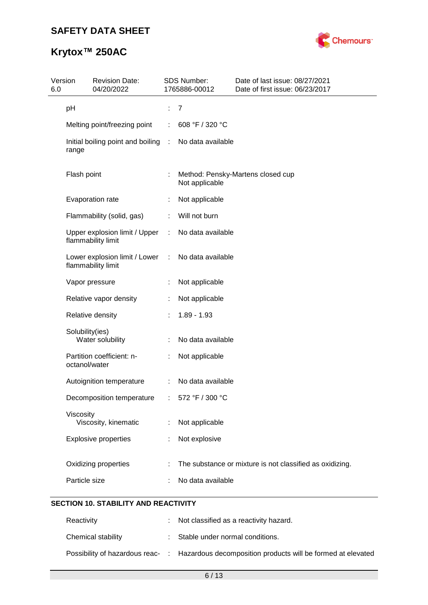

# **Krytox™ 250AC**

| Version<br>6.0 |                 | <b>Revision Date:</b><br>04/20/2022                   |   | SDS Number:<br>1765886-00012 | Date of last issue: 08/27/2021<br>Date of first issue: 06/23/2017 |
|----------------|-----------------|-------------------------------------------------------|---|------------------------------|-------------------------------------------------------------------|
|                | pH              |                                                       |   | $\overline{7}$               |                                                                   |
|                |                 | Melting point/freezing point                          | ÷ | 608 °F / 320 °C              |                                                                   |
|                | range           | Initial boiling point and boiling :                   |   | No data available            |                                                                   |
|                | Flash point     |                                                       |   | Not applicable               | Method: Pensky-Martens closed cup                                 |
|                |                 | Evaporation rate                                      |   | Not applicable               |                                                                   |
|                |                 | Flammability (solid, gas)                             |   | Will not burn                |                                                                   |
|                |                 | Upper explosion limit / Upper<br>flammability limit   | ÷ | No data available            |                                                                   |
|                |                 | Lower explosion limit / Lower :<br>flammability limit |   | No data available            |                                                                   |
|                |                 | Vapor pressure                                        | ÷ | Not applicable               |                                                                   |
|                |                 | Relative vapor density                                |   | Not applicable               |                                                                   |
|                |                 | Relative density                                      |   | $1.89 - 1.93$                |                                                                   |
|                | Solubility(ies) | Water solubility                                      |   | No data available            |                                                                   |
|                | octanol/water   | Partition coefficient: n-                             |   | Not applicable               |                                                                   |
|                |                 | Autoignition temperature                              | ÷ | No data available            |                                                                   |
|                |                 | Decomposition temperature                             |   | 572 °F / 300 °C              |                                                                   |
|                | Viscosity       | Viscosity, kinematic                                  |   | Not applicable               |                                                                   |
|                |                 | <b>Explosive properties</b>                           |   | Not explosive                |                                                                   |
|                |                 | Oxidizing properties                                  |   |                              | The substance or mixture is not classified as oxidizing.          |
|                | Particle size   |                                                       |   | No data available            |                                                                   |
|                |                 |                                                       |   |                              |                                                                   |

## **SECTION 10. STABILITY AND REACTIVITY**

| Reactivity         | : Not classified as a reactivity hazard.                                                     |
|--------------------|----------------------------------------------------------------------------------------------|
| Chemical stability | : Stable under normal conditions.                                                            |
|                    | Possibility of hazardous reac- : Hazardous decomposition products will be formed at elevated |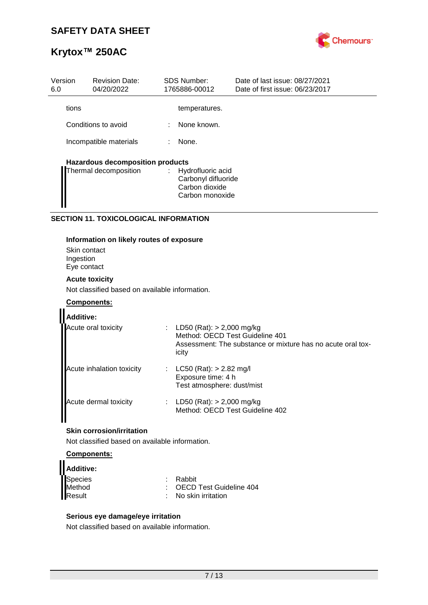

| Version<br>6.0 | <b>Revision Date:</b><br>04/20/2022     |   | <b>SDS Number:</b><br>1765886-00012                                             | Date of last issue: 08/27/2021<br>Date of first issue: 06/23/2017 |
|----------------|-----------------------------------------|---|---------------------------------------------------------------------------------|-------------------------------------------------------------------|
| tions          |                                         |   | temperatures.                                                                   |                                                                   |
|                | Conditions to avoid                     | ÷ | None known.                                                                     |                                                                   |
|                | Incompatible materials                  |   | None.                                                                           |                                                                   |
|                | <b>Hazardous decomposition products</b> |   |                                                                                 |                                                                   |
|                | Thermal decomposition                   |   | : Hydrofluoric acid<br>Carbonyl difluoride<br>Carbon dioxide<br>Carbon monoxide |                                                                   |

### **SECTION 11. TOXICOLOGICAL INFORMATION**

#### **Information on likely routes of exposure**

Skin contact Ingestion Eye contact

#### **Acute toxicity**

Not classified based on available information.

#### **Components:**

| <b>Additive:</b>          |                                                                                                                                      |
|---------------------------|--------------------------------------------------------------------------------------------------------------------------------------|
| Acute oral toxicity       | LD50 (Rat): > 2,000 mg/kg<br>Method: OECD Test Guideline 401<br>Assessment: The substance or mixture has no acute oral tox-<br>icity |
| Acute inhalation toxicity | $LC50$ (Rat): $> 2.82$ mg/l<br>Exposure time: 4 h<br>Test atmosphere: dust/mist                                                      |
| Acute dermal toxicity     | LD50 (Rat): $> 2,000$ mg/kg<br>Method: OECD Test Guideline 402                                                                       |

### **Skin corrosion/irritation**

Not classified based on available information.

### **Components:**

| Additive: |                                 |
|-----------|---------------------------------|
| Species   | : Rabbit                        |
| Method    | : OECD Test Guideline 404       |
| Result    | $\therefore$ No skin irritation |

#### **Serious eye damage/eye irritation**

Not classified based on available information.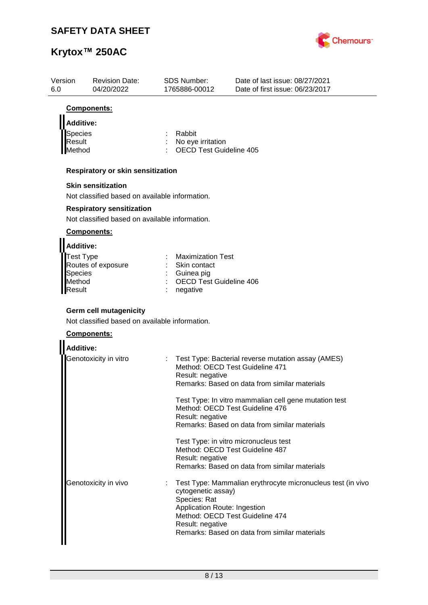

| Version<br>6.0   | <b>Revision Date:</b><br>04/20/2022                                             | SDS Number:<br>1765886-00012                        | Date of last issue: 08/27/2021<br>Date of first issue: 06/23/2017                     |
|------------------|---------------------------------------------------------------------------------|-----------------------------------------------------|---------------------------------------------------------------------------------------|
|                  | Components:                                                                     |                                                     |                                                                                       |
| <b>Additive:</b> |                                                                                 |                                                     |                                                                                       |
| Species          |                                                                                 | Rabbit                                              |                                                                                       |
| Result<br>Method |                                                                                 | No eye irritation<br><b>OECD Test Guideline 405</b> |                                                                                       |
|                  |                                                                                 |                                                     |                                                                                       |
|                  | Respiratory or skin sensitization                                               |                                                     |                                                                                       |
|                  | <b>Skin sensitization</b>                                                       |                                                     |                                                                                       |
|                  | Not classified based on available information.                                  |                                                     |                                                                                       |
|                  | <b>Respiratory sensitization</b>                                                |                                                     |                                                                                       |
|                  | Not classified based on available information.                                  |                                                     |                                                                                       |
|                  | Components:                                                                     |                                                     |                                                                                       |
| <b>Additive:</b> |                                                                                 |                                                     |                                                                                       |
| Test Type        |                                                                                 | <b>Maximization Test</b>                            |                                                                                       |
| <b>Species</b>   | Routes of exposure                                                              | Skin contact<br>Guinea pig                          |                                                                                       |
| Method           |                                                                                 | <b>OECD Test Guideline 406</b>                      |                                                                                       |
| Result           |                                                                                 | negative                                            |                                                                                       |
|                  |                                                                                 |                                                     |                                                                                       |
|                  | <b>Germ cell mutagenicity</b><br>Not classified based on available information. |                                                     |                                                                                       |
|                  |                                                                                 |                                                     |                                                                                       |
|                  | Components:                                                                     |                                                     |                                                                                       |
| <b>Additive:</b> |                                                                                 |                                                     |                                                                                       |
|                  | Genotoxicity in vitro                                                           |                                                     | Test Type: Bacterial reverse mutation assay (AMES)<br>Method: OECD Test Guideline 471 |
|                  |                                                                                 | Result: negative                                    |                                                                                       |
|                  |                                                                                 |                                                     | Remarks: Based on data from similar materials                                         |
|                  |                                                                                 |                                                     | Test Type: In vitro mammalian cell gene mutation test                                 |
|                  |                                                                                 |                                                     | Method: OECD Test Guideline 476                                                       |
|                  |                                                                                 | Result: negative                                    | Remarks: Based on data from similar materials                                         |
|                  |                                                                                 |                                                     |                                                                                       |
|                  |                                                                                 |                                                     | Test Type: in vitro micronucleus test                                                 |
|                  |                                                                                 | Result: negative                                    | Method: OECD Test Guideline 487                                                       |
|                  |                                                                                 |                                                     | Remarks: Based on data from similar materials                                         |
|                  | Genotoxicity in vivo                                                            |                                                     | Test Type: Mammalian erythrocyte micronucleus test (in vivo                           |
|                  |                                                                                 | cytogenetic assay)                                  |                                                                                       |
|                  |                                                                                 | Species: Rat                                        |                                                                                       |
|                  |                                                                                 | Application Route: Ingestion                        | Method: OECD Test Guideline 474                                                       |
|                  |                                                                                 | Result: negative                                    |                                                                                       |
|                  |                                                                                 |                                                     | Remarks: Based on data from similar materials                                         |
|                  |                                                                                 |                                                     |                                                                                       |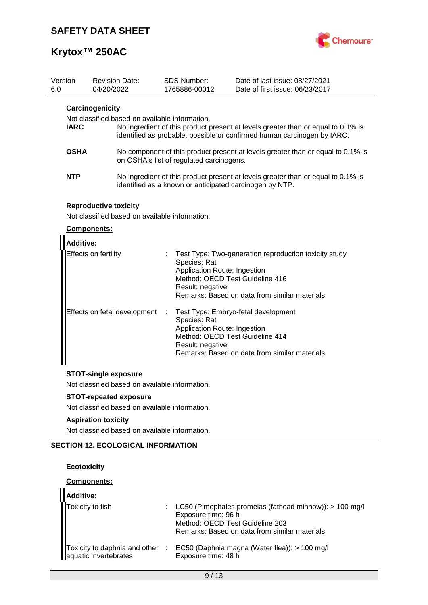

| Version<br>6.0 |                                                                                  | 04/20/2022 | <b>Revision Date:</b>                                                          |   | <b>SDS Number:</b><br>1765886-00012                                                                 | Date of last issue: 08/27/2021<br>Date of first issue: 06/23/2017                                                                                           |
|----------------|----------------------------------------------------------------------------------|------------|--------------------------------------------------------------------------------|---|-----------------------------------------------------------------------------------------------------|-------------------------------------------------------------------------------------------------------------------------------------------------------------|
|                | Carcinogenicity<br>Not classified based on available information.<br><b>IARC</b> |            |                                                                                |   |                                                                                                     | No ingredient of this product present at levels greater than or equal to 0.1% is<br>identified as probable, possible or confirmed human carcinogen by IARC. |
|                | <b>OSHA</b>                                                                      |            |                                                                                |   | on OSHA's list of regulated carcinogens.                                                            | No component of this product present at levels greater than or equal to 0.1% is                                                                             |
|                | <b>NTP</b>                                                                       |            |                                                                                |   |                                                                                                     | No ingredient of this product present at levels greater than or equal to 0.1% is<br>identified as a known or anticipated carcinogen by NTP.                 |
|                |                                                                                  |            | <b>Reproductive toxicity</b><br>Not classified based on available information. |   |                                                                                                     |                                                                                                                                                             |
|                | Components:                                                                      |            |                                                                                |   |                                                                                                     |                                                                                                                                                             |
|                | <b>Additive:</b>                                                                 |            |                                                                                |   |                                                                                                     |                                                                                                                                                             |
|                | Effects on fertility                                                             |            |                                                                                |   | Species: Rat<br>Application Route: Ingestion<br>Method: OECD Test Guideline 416<br>Result: negative | Test Type: Two-generation reproduction toxicity study<br>Remarks: Based on data from similar materials                                                      |
|                |                                                                                  |            | Effects on fetal development                                                   | ÷ | Species: Rat<br>Application Route: Ingestion<br>Method: OECD Test Guideline 414<br>Result: negative | Test Type: Embryo-fetal development<br>Remarks: Based on data from similar materials                                                                        |
|                |                                                                                  |            | <b>STOT-single exposure</b>                                                    |   |                                                                                                     |                                                                                                                                                             |
|                | Not classified based on available information.                                   |            |                                                                                |   |                                                                                                     |                                                                                                                                                             |
|                |                                                                                  |            | <b>STOT-repeated exposure</b>                                                  |   |                                                                                                     |                                                                                                                                                             |
|                |                                                                                  |            | Not classified based on available information.                                 |   |                                                                                                     |                                                                                                                                                             |
|                | <b>Aspiration toxicity</b>                                                       |            |                                                                                |   |                                                                                                     |                                                                                                                                                             |
|                |                                                                                  |            | Not classified based on available information.                                 |   |                                                                                                     |                                                                                                                                                             |
|                |                                                                                  |            | <b>SECTION 12. ECOLOGICAL INFORMATION</b>                                      |   |                                                                                                     |                                                                                                                                                             |

### **Ecotoxicity**

### **Components:**

| Additive: |                                                                                                                                                                                                                                                                                                       |
|-----------|-------------------------------------------------------------------------------------------------------------------------------------------------------------------------------------------------------------------------------------------------------------------------------------------------------|
|           | Toxicity to fish : LC50 (Pimephales promelas (fathead minnow)):<br>Exposure time: 96 h<br>Method: OECD Test Guideline 203<br>Remarks: Based on data from similar materials<br>Toxicity to daphnia and other : EC50 (Daphnia magna (Wat<br>: LC50 (Pimephales promelas (fathead minnow)): $> 100$ mg/l |
|           |                                                                                                                                                                                                                                                                                                       |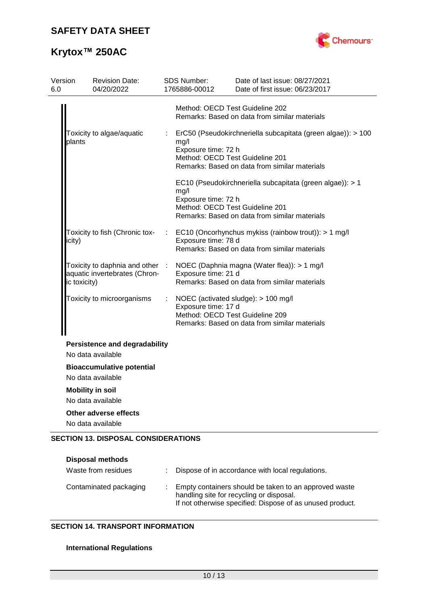

# **Krytox™ 250AC**

| Version<br>6.0 |              | <b>Revision Date:</b><br>04/20/2022                              |   | SDS Number:<br>1765886-00012                                   | Date of last issue: 08/27/2021<br>Date of first issue: 06/23/2017                                             |
|----------------|--------------|------------------------------------------------------------------|---|----------------------------------------------------------------|---------------------------------------------------------------------------------------------------------------|
|                |              |                                                                  |   | Method: OECD Test Guideline 202                                | Remarks: Based on data from similar materials                                                                 |
|                | plants       | Toxicity to algae/aquatic                                        |   | mg/l<br>Exposure time: 72 h<br>Method: OECD Test Guideline 201 | ErC50 (Pseudokirchneriella subcapitata (green algae)): > 100<br>Remarks: Based on data from similar materials |
|                |              |                                                                  |   | mg/l<br>Exposure time: 72 h<br>Method: OECD Test Guideline 201 | EC10 (Pseudokirchneriella subcapitata (green algae)): > 1<br>Remarks: Based on data from similar materials    |
|                | icity)       | Toxicity to fish (Chronic tox-                                   |   | Exposure time: 78 d                                            | EC10 (Oncorhynchus mykiss (rainbow trout)): > 1 mg/l<br>Remarks: Based on data from similar materials         |
|                | ic toxicity) | Toxicity to daphnia and other :<br>aquatic invertebrates (Chron- |   | Exposure time: 21 d                                            | NOEC (Daphnia magna (Water flea)): > 1 mg/l<br>Remarks: Based on data from similar materials                  |
|                |              | Toxicity to microorganisms                                       | ÷ | Exposure time: 17 d<br>Method: OECD Test Guideline 209         | NOEC (activated sludge): > 100 mg/l<br>Remarks: Based on data from similar materials                          |
|                |              | <b>Persistence and degradability</b><br>No data available        |   |                                                                |                                                                                                               |
|                |              | <b>Bioaccumulative potential</b><br>No data available            |   |                                                                |                                                                                                               |
|                |              | <b>Mobility in soil</b><br>No data available                     |   |                                                                |                                                                                                               |
|                |              | <b>Other adverse effects</b><br>No data available                |   |                                                                |                                                                                                               |
|                |              | <b>SECTION 13. DISPOSAL CONSIDERATIONS</b>                       |   |                                                                |                                                                                                               |

| <b>Disposal methods</b><br>Waste from residues | Dispose of in accordance with local regulations.                                                                                                               |
|------------------------------------------------|----------------------------------------------------------------------------------------------------------------------------------------------------------------|
| Contaminated packaging                         | Empty containers should be taken to an approved waste<br>handling site for recycling or disposal.<br>If not otherwise specified: Dispose of as unused product. |

## **SECTION 14. TRANSPORT INFORMATION**

### **International Regulations**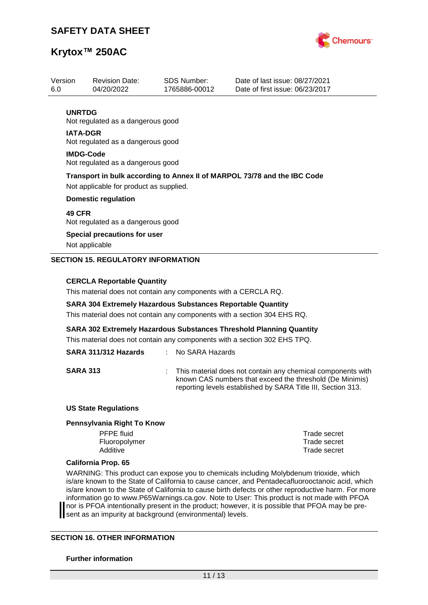

| Version | <b>Revision Date:</b>                                                    | SDS Number:   | Date of last issue: 08/27/2021  |  |  |  |  |
|---------|--------------------------------------------------------------------------|---------------|---------------------------------|--|--|--|--|
| 6.0     | 04/20/2022                                                               | 1765886-00012 | Date of first issue: 06/23/2017 |  |  |  |  |
|         |                                                                          |               |                                 |  |  |  |  |
|         | <b>UNRTDG</b>                                                            |               |                                 |  |  |  |  |
|         | Not regulated as a dangerous good                                        |               |                                 |  |  |  |  |
|         | <b>IATA-DGR</b>                                                          |               |                                 |  |  |  |  |
|         | Not regulated as a dangerous good                                        |               |                                 |  |  |  |  |
|         | <b>IMDG-Code</b>                                                         |               |                                 |  |  |  |  |
|         | Not regulated as a dangerous good                                        |               |                                 |  |  |  |  |
|         |                                                                          |               |                                 |  |  |  |  |
|         | Transport in bulk according to Annex II of MARPOL 73/78 and the IBC Code |               |                                 |  |  |  |  |
|         | Not applicable for product as supplied.                                  |               |                                 |  |  |  |  |
|         | <b>Domestic regulation</b>                                               |               |                                 |  |  |  |  |
|         | <b>49 CFR</b>                                                            |               |                                 |  |  |  |  |
|         | Not regulated as a dangerous good                                        |               |                                 |  |  |  |  |
|         | Special precautions for user                                             |               |                                 |  |  |  |  |
|         |                                                                          |               |                                 |  |  |  |  |
|         | Not applicable                                                           |               |                                 |  |  |  |  |
|         | <b>SECTION 15. REGULATORY INFORMATION</b>                                |               |                                 |  |  |  |  |
|         |                                                                          |               |                                 |  |  |  |  |
|         |                                                                          |               |                                 |  |  |  |  |

#### **CERCLA Reportable Quantity**

This material does not contain any components with a CERCLA RQ.

#### **SARA 304 Extremely Hazardous Substances Reportable Quantity**

This material does not contain any components with a section 304 EHS RQ.

**SARA 302 Extremely Hazardous Substances Threshold Planning Quantity**

This material does not contain any components with a section 302 EHS TPQ.

## **SARA 311/312 Hazards** : No SARA Hazards

**SARA 313** : This material does not contain any chemical components with known CAS numbers that exceed the threshold (De Minimis) reporting levels established by SARA Title III, Section 313.

#### **US State Regulations**

#### **Pennsylvania Right To Know**

PFPE fluid Trade secret Fluoropolymer Trade secret Additive **Trade secret** 

#### **California Prop. 65**

WARNING: This product can expose you to chemicals including Molybdenum trioxide, which is/are known to the State of California to cause cancer, and Pentadecafluorooctanoic acid, which is/are known to the State of California to cause birth defects or other reproductive harm. For more information go to www.P65Warnings.ca.gov. Note to User: This product is not made with PFOA nor is PFOA intentionally present in the product; however, it is possible that PFOA may be present as an impurity at background (environmental) levels.

#### **SECTION 16. OTHER INFORMATION**

#### **Further information**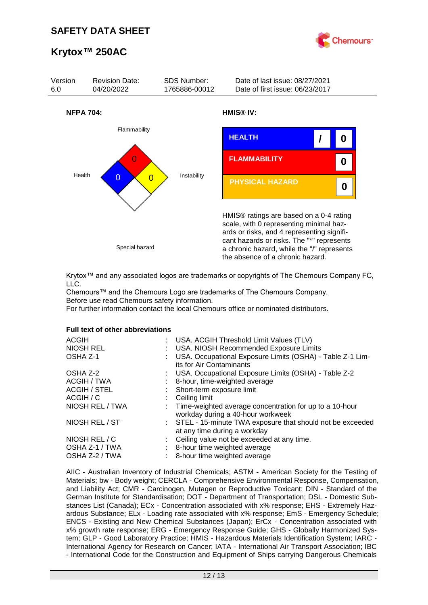



Krytox™ and any associated logos are trademarks or copyrights of The Chemours Company FC, LLC.

Chemours™ and the Chemours Logo are trademarks of The Chemours Company. Before use read Chemours safety information.

For further information contact the local Chemours office or nominated distributors.

#### **Full text of other abbreviations**

| : USA. ACGIH Threshold Limit Values (TLV)<br>: USA. NIOSH Recommended Exposure Limits<br>USA. Occupational Exposure Limits (OSHA) - Table Z-1 Lim- |
|----------------------------------------------------------------------------------------------------------------------------------------------------|
| its for Air Contaminants                                                                                                                           |
| : USA. Occupational Exposure Limits (OSHA) - Table Z-2                                                                                             |
| 8-hour, time-weighted average                                                                                                                      |
| : Short-term exposure limit                                                                                                                        |
| $\therefore$ Ceiling limit                                                                                                                         |
| : Time-weighted average concentration for up to a 10-hour<br>workday during a 40-hour workweek                                                     |
| : STEL - 15-minute TWA exposure that should not be exceeded<br>at any time during a workday                                                        |
| : Ceiling value not be exceeded at any time.                                                                                                       |
| : 8-hour time weighted average                                                                                                                     |
| : 8-hour time weighted average                                                                                                                     |
|                                                                                                                                                    |

AIIC - Australian Inventory of Industrial Chemicals; ASTM - American Society for the Testing of Materials; bw - Body weight; CERCLA - Comprehensive Environmental Response, Compensation, and Liability Act; CMR - Carcinogen, Mutagen or Reproductive Toxicant; DIN - Standard of the German Institute for Standardisation; DOT - Department of Transportation; DSL - Domestic Substances List (Canada); ECx - Concentration associated with x% response; EHS - Extremely Hazardous Substance; ELx - Loading rate associated with x% response; EmS - Emergency Schedule; ENCS - Existing and New Chemical Substances (Japan); ErCx - Concentration associated with x% growth rate response; ERG - Emergency Response Guide; GHS - Globally Harmonized System; GLP - Good Laboratory Practice; HMIS - Hazardous Materials Identification System; IARC - International Agency for Research on Cancer; IATA - International Air Transport Association; IBC - International Code for the Construction and Equipment of Ships carrying Dangerous Chemicals